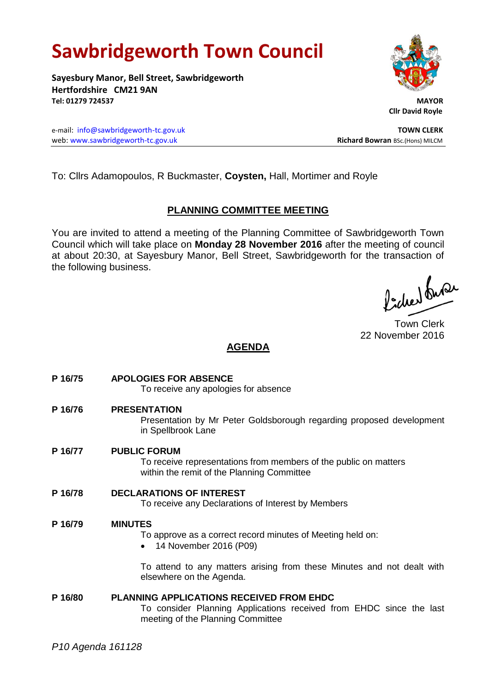# **Sawbridgeworth Town Council**

**Sayesbury Manor, Bell Street, Sawbridgeworth Hertfordshire CM21 9AN Tel: 01279 724537 MAYOR**

e-mail: [info@sawbridgeworth-tc.gov.uk](mailto:info@sawbridgeworth-tc.gov.uk) **TOWN CLERK** web: www.sawbridgeworth-tc.gov.uk<br> **Richard Bowran** BSc.(Hons) MILCM

To: Cllrs Adamopoulos, R Buckmaster, **Coysten,** Hall, Mortimer and Royle

# **PLANNING COMMITTEE MEETING**

You are invited to attend a meeting of the Planning Committee of Sawbridgeworth Town Council which will take place on **Monday 28 November 2016** after the meeting of council at about 20:30, at Sayesbury Manor, Bell Street, Sawbridgeworth for the transaction of the following business.

Picked Super

Town Clerk 22 November 2016

# **AGENDA**

- **P 16/75 APOLOGIES FOR ABSENCE** To receive any apologies for absence
- **P 16/76 PRESENTATION**

Presentation by Mr Peter Goldsborough regarding proposed development in Spellbrook Lane

**P 16/77 PUBLIC FORUM**

To receive representations from members of the public on matters within the remit of the Planning Committee

**P 16/78 DECLARATIONS OF INTEREST**

To receive any Declarations of Interest by Members

# **P 16/79 MINUTES**

To approve as a correct record minutes of Meeting held on:

• 14 November 2016 (P09)

To attend to any matters arising from these Minutes and not dealt with elsewhere on the Agenda.

**P 16/80 PLANNING APPLICATIONS RECEIVED FROM EHDC** To consider Planning Applications received from EHDC since the last meeting of the Planning Committee



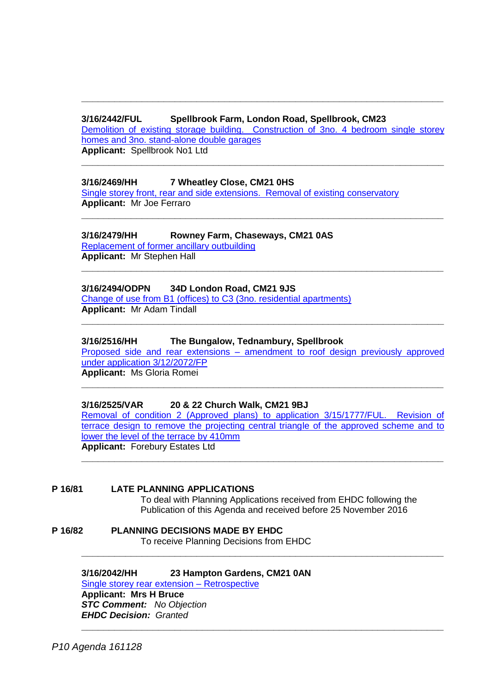# **3/16/2442/FUL Spellbrook Farm, London Road, Spellbrook, CM23**

[Demolition of existing storage building. Construction of 3no. 4 bedroom single storey](https://publicaccess.eastherts.gov.uk/online-applications/applicationDetails.do?activeTab=summary&keyVal=OFZ0IYGLM0500)  [homes and 3no. stand-alone double garages](https://publicaccess.eastherts.gov.uk/online-applications/applicationDetails.do?activeTab=summary&keyVal=OFZ0IYGLM0500) **Applicant:** Spellbrook No1 Ltd

**\_\_\_\_\_\_\_\_\_\_\_\_\_\_\_\_\_\_\_\_\_\_\_\_\_\_\_\_\_\_\_\_\_\_\_\_\_\_\_\_\_\_\_\_\_\_\_\_\_\_\_\_\_\_\_\_\_\_\_\_\_\_\_\_\_\_**

**\_\_\_\_\_\_\_\_\_\_\_\_\_\_\_\_\_\_\_\_\_\_\_\_\_\_\_\_\_\_\_\_\_\_\_\_\_\_\_\_\_\_\_\_\_\_\_\_\_\_\_\_\_\_\_\_\_\_\_\_\_\_\_\_\_\_**

**\_\_\_\_\_\_\_\_\_\_\_\_\_\_\_\_\_\_\_\_\_\_\_\_\_\_\_\_\_\_\_\_\_\_\_\_\_\_\_\_\_\_\_\_\_\_\_\_\_\_\_\_\_\_\_\_\_\_\_\_\_\_\_\_\_\_**

**\_\_\_\_\_\_\_\_\_\_\_\_\_\_\_\_\_\_\_\_\_\_\_\_\_\_\_\_\_\_\_\_\_\_\_\_\_\_\_\_\_\_\_\_\_\_\_\_\_\_\_\_\_\_\_\_\_\_\_\_\_\_\_\_\_\_**

# **3/16/2469/HH 7 Wheatley Close, CM21 0HS**

[Single storey front, rear and side extensions. Removal of existing conservatory](https://publicaccess.eastherts.gov.uk/online-applications/applicationDetails.do?activeTab=summary&keyVal=OG2NC5GL03N00) **Applicant:** Mr Joe Ferraro

## **3/16/2479/HH Rowney Farm, Chaseways, CM21 0AS**

[Replacement of former ancillary outbuilding](https://publicaccess.eastherts.gov.uk/online-applications/applicationDetails.do?activeTab=summary&keyVal=OG4KJVGLM2U00) **Applicant:** Mr Stephen Hall

## **3/16/2494/ODPN 34D London Road, CM21 9JS**

[Change of use from B1 \(offices\) to C3 \(3no. residential apartments\)](https://publicaccess.eastherts.gov.uk/online-applications/applicationDetails.do?activeTab=summary&keyVal=OGBX42GL03N00) **Applicant:** Mr Adam Tindall

## **3/16/2516/HH The Bungalow, Tednambury, Spellbrook**

Proposed side and rear extensions – [amendment to roof design previously approved](https://publicaccess.eastherts.gov.uk/online-applications/applicationDetails.do?activeTab=summary&keyVal=OGF2ACGLM5900)  [under application 3/12/2072/FP](https://publicaccess.eastherts.gov.uk/online-applications/applicationDetails.do?activeTab=summary&keyVal=OGF2ACGLM5900)

**\_\_\_\_\_\_\_\_\_\_\_\_\_\_\_\_\_\_\_\_\_\_\_\_\_\_\_\_\_\_\_\_\_\_\_\_\_\_\_\_\_\_\_\_\_\_\_\_\_\_\_\_\_\_\_\_\_\_\_\_\_\_\_\_\_\_**

**\_\_\_\_\_\_\_\_\_\_\_\_\_\_\_\_\_\_\_\_\_\_\_\_\_\_\_\_\_\_\_\_\_\_\_\_\_\_\_\_\_\_\_\_\_\_\_\_\_\_\_\_\_\_\_\_\_\_\_\_\_\_\_\_\_\_**

**Applicant:** Ms Gloria Romei

# **3/16/2525/VAR 20 & 22 Church Walk, CM21 9BJ**

[Removal of condition 2 \(Approved plans\) to application 3/15/1777/FUL. Revision of](https://publicaccess.eastherts.gov.uk/online-applications/applicationDetails.do?activeTab=summary&keyVal=OGGWXHGLM5Q00)  [terrace design to remove the projecting central triangle of the approved scheme and to](https://publicaccess.eastherts.gov.uk/online-applications/applicationDetails.do?activeTab=summary&keyVal=OGGWXHGLM5Q00)  [lower the level of the terrace by 410mm](https://publicaccess.eastherts.gov.uk/online-applications/applicationDetails.do?activeTab=summary&keyVal=OGGWXHGLM5Q00) **Applicant:** Forebury Estates Ltd

**\_\_\_\_\_\_\_\_\_\_\_\_\_\_\_\_\_\_\_\_\_\_\_\_\_\_\_\_\_\_\_\_\_\_\_\_\_\_\_\_\_\_\_\_\_\_\_\_\_\_\_\_\_\_\_\_\_\_\_\_\_\_\_\_\_\_**

**\_\_\_\_\_\_\_\_\_\_\_\_\_\_\_\_\_\_\_\_\_\_\_\_\_\_\_\_\_\_\_\_\_\_\_\_\_\_\_\_\_\_\_\_\_\_\_\_\_\_\_\_\_\_\_\_\_\_\_\_\_\_\_\_\_\_**

**\_\_\_\_\_\_\_\_\_\_\_\_\_\_\_\_\_\_\_\_\_\_\_\_\_\_\_\_\_\_\_\_\_\_\_\_\_\_\_\_\_\_\_\_\_\_\_\_\_\_\_\_\_\_\_\_\_\_\_\_\_\_\_\_\_\_**

# **P 16/81 LATE PLANNING APPLICATIONS**

To deal with Planning Applications received from EHDC following the Publication of this Agenda and received before 25 November 2016

**P 16/82 PLANNING DECISIONS MADE BY EHDC** To receive Planning Decisions from EHDC

#### **3/16/2042/HH 23 Hampton Gardens, CM21 0AN** [Single storey rear extension –](https://publicaccess.eastherts.gov.uk/online-applications/applicationDetails.do?activeTab=summary&keyVal=OD4YL6GL00700) Retrospective **Applicant: Mrs H Bruce**

*STC Comment: No Objection EHDC Decision: Granted*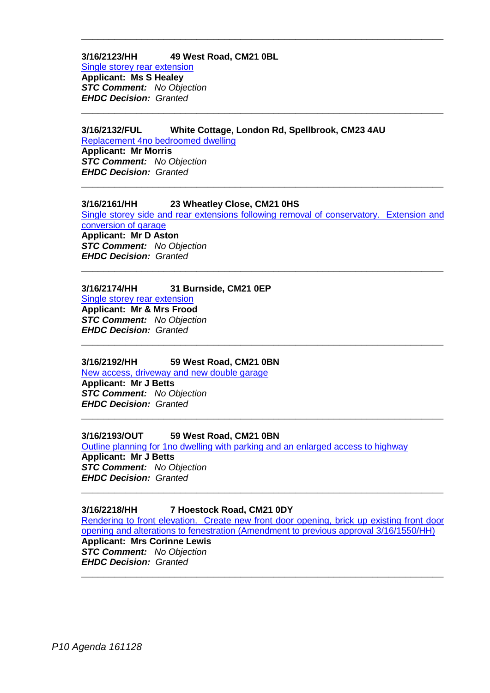## **3/16/2123/HH 49 West Road, CM21 0BL**

[Single storey rear extension](https://publicaccess.eastherts.gov.uk/online-applications/applicationDetails.do?activeTab=summary&keyVal=ODQTPEGL00X00) **Applicant: Ms S Healey** *STC Comment: No Objection EHDC Decision: Granted*

# **3/16/2132/FUL White Cottage, London Rd, Spellbrook, CM23 4AU**

[Replacement 4no bedroomed dwelling](https://publicaccess.eastherts.gov.uk/online-applications/applicationDetails.do?activeTab=summary&keyVal=ODRB4LGLLH500) **Applicant: Mr Morris** *STC Comment: No Objection EHDC Decision: Granted*

## **3/16/2161/HH 23 Wheatley Close, CM21 0HS**

[Single storey side and rear extensions following removal of conservatory. Extension and](https://publicaccess.eastherts.gov.uk/online-applications/applicationDetails.do?activeTab=summary&keyVal=ODUJN3GL00X00)  [conversion of garage](https://publicaccess.eastherts.gov.uk/online-applications/applicationDetails.do?activeTab=summary&keyVal=ODUJN3GL00X00) **Applicant: Mr D Aston** *STC Comment: No Objection EHDC Decision: Granted*

**\_\_\_\_\_\_\_\_\_\_\_\_\_\_\_\_\_\_\_\_\_\_\_\_\_\_\_\_\_\_\_\_\_\_\_\_\_\_\_\_\_\_\_\_\_\_\_\_\_\_\_\_\_\_\_\_\_\_\_\_\_\_\_\_\_\_**

**\_\_\_\_\_\_\_\_\_\_\_\_\_\_\_\_\_\_\_\_\_\_\_\_\_\_\_\_\_\_\_\_\_\_\_\_\_\_\_\_\_\_\_\_\_\_\_\_\_\_\_\_\_\_\_\_\_\_\_\_\_\_\_\_\_\_**

**\_\_\_\_\_\_\_\_\_\_\_\_\_\_\_\_\_\_\_\_\_\_\_\_\_\_\_\_\_\_\_\_\_\_\_\_\_\_\_\_\_\_\_\_\_\_\_\_\_\_\_\_\_\_\_\_\_\_\_\_\_\_\_\_\_\_**

**\_\_\_\_\_\_\_\_\_\_\_\_\_\_\_\_\_\_\_\_\_\_\_\_\_\_\_\_\_\_\_\_\_\_\_\_\_\_\_\_\_\_\_\_\_\_\_\_\_\_\_\_\_\_\_\_\_\_\_\_\_\_\_\_\_\_**

**\_\_\_\_\_\_\_\_\_\_\_\_\_\_\_\_\_\_\_\_\_\_\_\_\_\_\_\_\_\_\_\_\_\_\_\_\_\_\_\_\_\_\_\_\_\_\_\_\_\_\_\_\_\_\_\_\_\_\_\_\_\_\_\_\_\_**

**\_\_\_\_\_\_\_\_\_\_\_\_\_\_\_\_\_\_\_\_\_\_\_\_\_\_\_\_\_\_\_\_\_\_\_\_\_\_\_\_\_\_\_\_\_\_\_\_\_\_\_\_\_\_\_\_\_\_\_\_\_\_\_\_\_\_**

## **3/16/2174/HH 31 Burnside, CM21 0EP**

[Single storey rear extension](https://publicaccess.eastherts.gov.uk/online-applications/applicationDetails.do?activeTab=summary&keyVal=ODWJX7GLLJ400) **Applicant: Mr & Mrs Frood** *STC Comment: No Objection EHDC Decision: Granted*

#### **3/16/2192/HH 59 West Road, CM21 0BN**

[New access, driveway and new double garage](https://publicaccess.eastherts.gov.uk/online-applications/applicationDetails.do?activeTab=summary&keyVal=OE3S77GL00X00) **Applicant: Mr J Betts** *STC Comment: No Objection EHDC Decision: Granted*

#### **3/16/2193/OUT 59 West Road, CM21 0BN**

[Outline planning for 1no dwelling with parking and an enlarged access to highway](https://publicaccess.eastherts.gov.uk/online-applications/applicationDetails.do?activeTab=summary&keyVal=OE3S77GL00X00) **Applicant: Mr J Betts** *STC Comment: No Objection EHDC Decision: Granted* **\_\_\_\_\_\_\_\_\_\_\_\_\_\_\_\_\_\_\_\_\_\_\_\_\_\_\_\_\_\_\_\_\_\_\_\_\_\_\_\_\_\_\_\_\_\_\_\_\_\_\_\_\_\_\_\_\_\_\_\_\_\_\_\_\_\_**

#### **3/16/2218/HH 7 Hoestock Road, CM21 0DY**

[Rendering to front elevation. Create new front door opening, brick up existing front door](https://publicaccess.eastherts.gov.uk/online-applications/applicationDetails.do?activeTab=summary&keyVal=OE97HMGLLM500)  [opening and alterations to fenestration \(Amendment to previous approval 3/16/1550/HH\)](https://publicaccess.eastherts.gov.uk/online-applications/applicationDetails.do?activeTab=summary&keyVal=OE97HMGLLM500) **Applicant: Mrs Corinne Lewis** *STC Comment: No Objection*

*EHDC Decision: Granted* **\_\_\_\_\_\_\_\_\_\_\_\_\_\_\_\_\_\_\_\_\_\_\_\_\_\_\_\_\_\_\_\_\_\_\_\_\_\_\_\_\_\_\_\_\_\_\_\_\_\_\_\_\_\_\_\_\_\_\_\_\_\_\_\_\_\_**